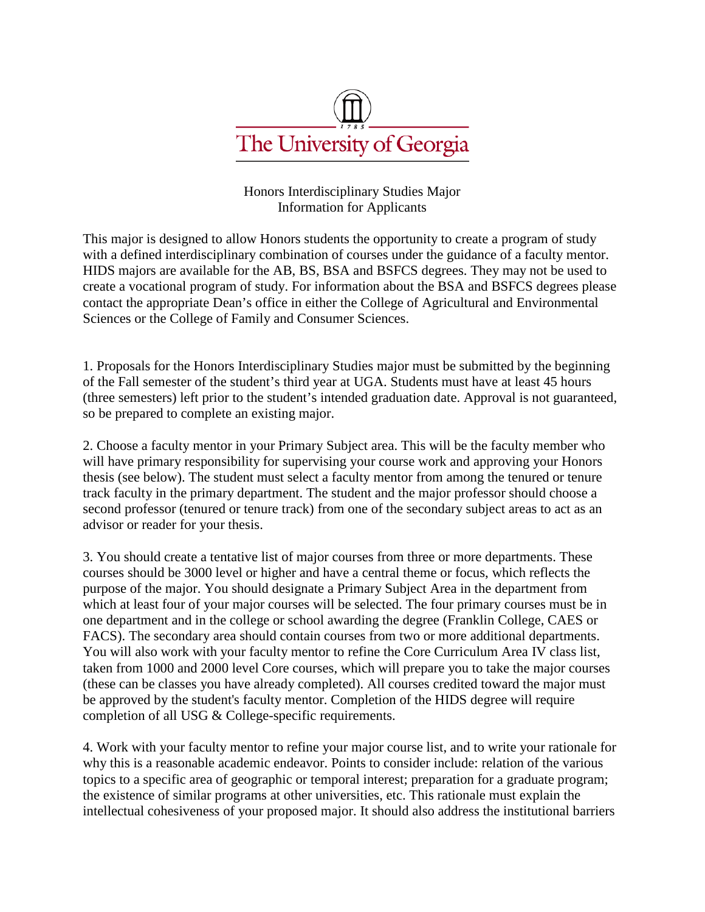

This major is designed to allow Honors students the opportunity to create a program of study with a defined interdisciplinary combination of courses under the guidance of a faculty mentor. HIDS majors are available for the AB, BS, and BSA degrees. They may not be used to create a vocational program of study. For information about the BSA degree, please contact the Dean's office in the College of Agricultural and Environmental Sciences.

1. Proposals for the Honors Interdisciplinary Studies major must be submitted by the beginning of the Fall semester of the student's third year at UGA. Students must have at least 45 hours (three semesters) left prior to their intended graduation date. Approval is not guaranteed, so be prepared to complete an existing major.

2. Choose a faculty mentor in your Primary Subject area. This will be the faculty member who will have primary responsibility for supervising your course work and approving your Honors thesis (see below). Students must select a faculty mentor from among the tenured or tenure track faculty in the primary department and a second professor (tenured or tenure track) from one of the secondary subject areas to act as an advisor or reader for the thesis.

3. Students should create a tentative list of major courses from three or more departments. These courses should be 3000 level or higher and have a central theme or focus, which reflects the purpose of the major. Designate a Primary Subject Area in the department from which at least four of the major courses will be selected. The four primary courses must be in one department and in the college or school awarding the degree (Franklin College or College of Agricultural and Environmental Sciences). The secondary area should contain courses from two or more additional departments. Students will work with their faculty mentor to refine the Core Curriculum Area IV class list, taken from 1000 and 2000 level Core courses (these can be classes that are already completed). All courses credited toward the major must be approved by the faculty mentor. Completion of the HIDS degree requires completion of all USG & College-specific requirements.

4. Students will work with their faculty mentor to refine the major course list and write a rationale for why this major is a reasonable academic endeavor. Points to consider include: relation of the various topics to a specific area of geographic or temporal interest; preparation for a graduate program; the existence of similar programs at other universities, etc. This rationale must explain the intellectual cohesiveness of the proposed major. It should also address the institutional barriers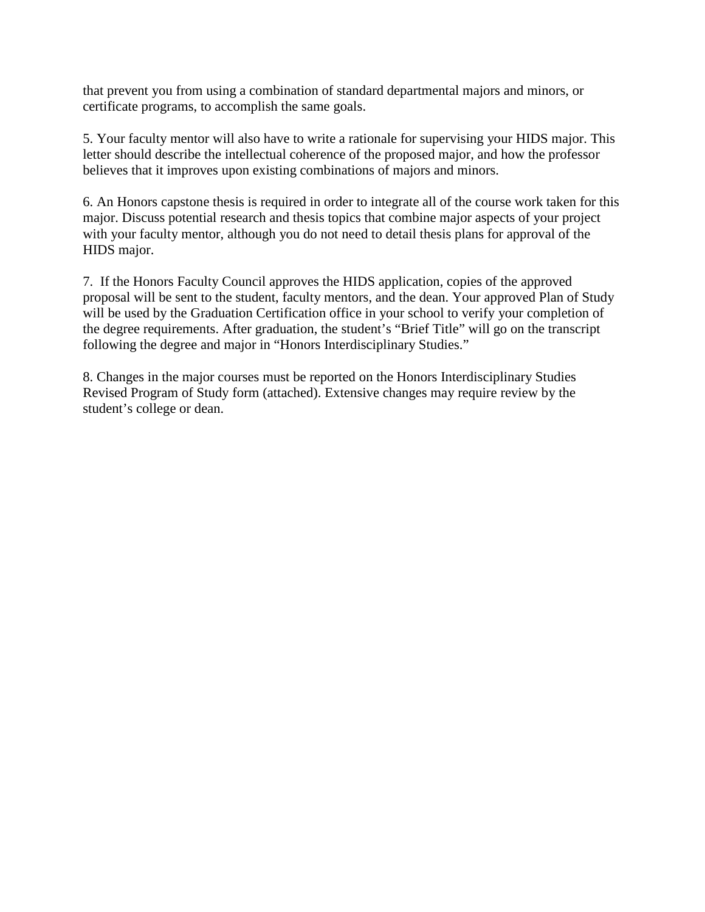that prevent existing departmental majors, minors, or certificate programs to accomplish the same goals.

5. The faculty mentor will also have to write a rationale for supervising the proposed HIDS major. This letter should describe the intellectual coherence of the proposed major, and how the professor believes that it improves upon existing combinations of majors and minors.

6. An Honors capstone thesis course (HONS 4990H) is required in order to integrate all of the course work taken for the proposed major. A detailed thesis plan is not necessary for the approval process.

7. If the Honors Faculty Council approves the HIDS application, copies of the approved proposal will be sent to the student, faculty mentors, and the appropriate dean. The approved Plan of Study will be used to verify your completion of the degree requirements. After graduation, the student's "Brief Title" will go on the transcript following the degree and major in "Honors Interdisciplinary Studies."

8. Changes in the major courses must be reported on the Honors Interdisciplinary Studies Revised Program of Study form (attached). Extensive changes may require review by the student's college or dean.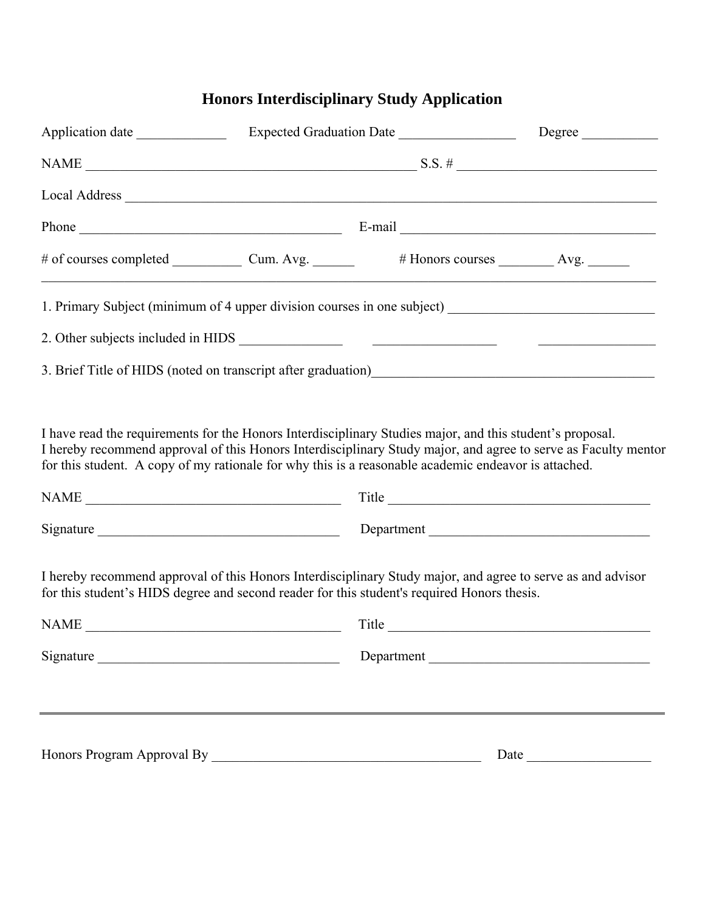## **Honors Interdisciplinary Study Application**

| 1. Primary Subject (minimum of 4 upper division courses in one subject) ____________________________                                                                                                       |  |            |  |  |  |
|------------------------------------------------------------------------------------------------------------------------------------------------------------------------------------------------------------|--|------------|--|--|--|
|                                                                                                                                                                                                            |  |            |  |  |  |
|                                                                                                                                                                                                            |  |            |  |  |  |
| for this student. A copy of my rationale for why this is a reasonable academic endeavor is attached.                                                                                                       |  |            |  |  |  |
|                                                                                                                                                                                                            |  |            |  |  |  |
| I hereby recommend approval of this Honors Interdisciplinary Study major, and agree to serve as and advisor<br>for this student's HIDS degree and second reader for this student's required Honors thesis. |  | Title      |  |  |  |
|                                                                                                                                                                                                            |  | Department |  |  |  |
| Morehead Honors College Approval                                                                                                                                                                           |  |            |  |  |  |
| By                                                                                                                                                                                                         |  | Date       |  |  |  |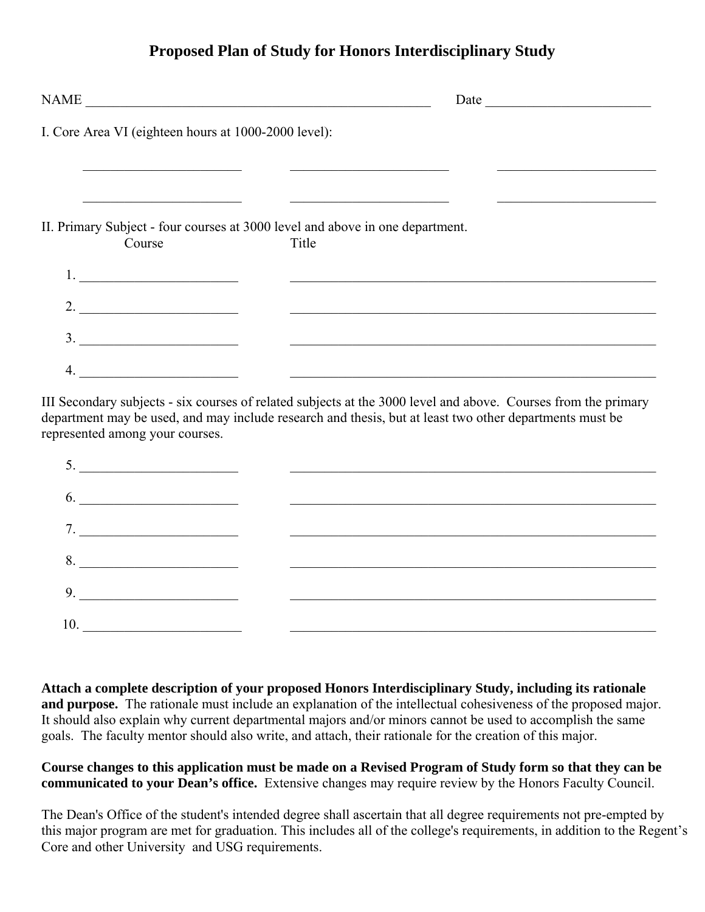## **Proposed Plan of Study for Honors Interdisciplinary Study**

|    | NAME                                                                                    |       |  |
|----|-----------------------------------------------------------------------------------------|-------|--|
|    | I. Core Area VI (eighteen hours at 1000-2000 level):                                    |       |  |
|    |                                                                                         |       |  |
|    |                                                                                         |       |  |
|    | II. Primary Subject - four courses at 3000 level and above in one department.<br>Course | Title |  |
|    | 1. $\qquad \qquad$                                                                      |       |  |
|    | $\overline{\phantom{a}}$ 2.                                                             |       |  |
|    | $\overline{\phantom{a}}$                                                                |       |  |
| 4. |                                                                                         |       |  |

III. Secondary subjects - six courses of related subjects at the 3000 level and above. Courses from the primary department may be used, and may include research and thesis, but at least two other departments must be represented among your courses.

| 9. |  |
|----|--|
|    |  |

**Attach a complete description of your proposed Honors Interdisciplinary Study, including its rationale and purpose.** The rationale must include an explanation of the intellectual cohesiveness of the proposed major. It should also explain why current departmental majors and/or minors cannot be used to accomplish the same goals. The faculty mentor should also write, and attach, a letter of support for the creation of this major.

## **Course changes to this application must be made on a Revised Program of Study form so that they can be communicated to your Dean's office.** Extensive changes may require review by the Honors Faculty Council.

The Dean's office of the student's intended degree shall ascertain that all degree requirements not pre-empted by this major program are met for graduation. This includes all of the college's requirements, in addition to the Regent's Core and other University and USG requirements.